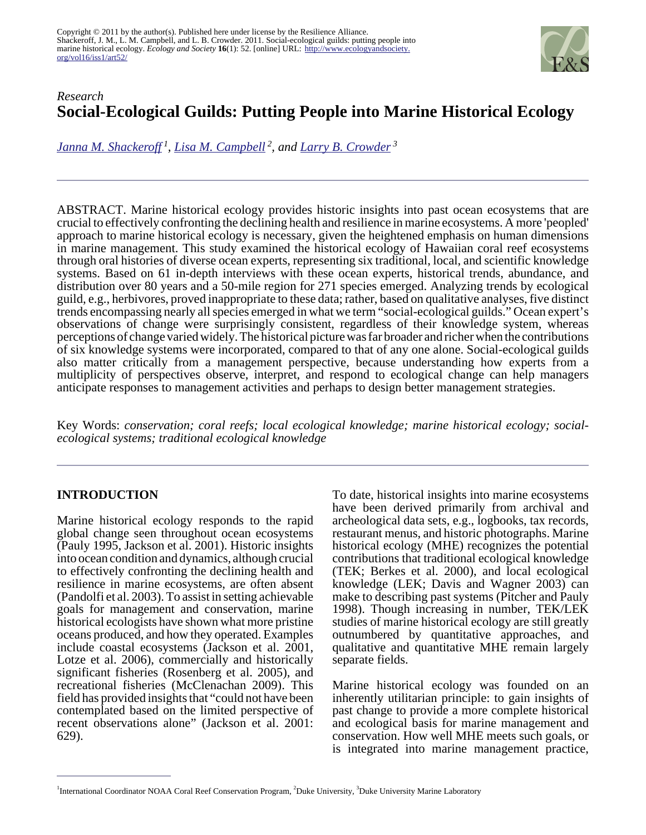

# *Research* **Social-Ecological Guilds: Putting People into Marine Historical Ecology**

*[Janna M. Shackeroff](mailto:janna.shackeroff@noaa.gov)<sup>1</sup> , [Lisa M. Campbell](mailto:lcampbe@duke.edu)<sup>2</sup>, and [Larry B. Crowder](mailto:lcrowder@duke.edu)<sup>3</sup>*

ABSTRACT. Marine historical ecology provides historic insights into past ocean ecosystems that are crucial to effectively confronting the declining health and resilience in marine ecosystems. A more 'peopled' approach to marine historical ecology is necessary, given the heightened emphasis on human dimensions in marine management. This study examined the historical ecology of Hawaiian coral reef ecosystems through oral histories of diverse ocean experts, representing six traditional, local, and scientific knowledge systems. Based on 61 in-depth interviews with these ocean experts, historical trends, abundance, and distribution over 80 years and a 50-mile region for 271 species emerged. Analyzing trends by ecological guild, e.g., herbivores, proved inappropriate to these data; rather, based on qualitative analyses, five distinct trends encompassing nearly all species emerged in what we term "social-ecological guilds." Ocean expert's observations of change were surprisingly consistent, regardless of their knowledge system, whereas perceptions of change varied widely. The historical picture was far broader and richer when the contributions of six knowledge systems were incorporated, compared to that of any one alone. Social-ecological guilds also matter critically from a management perspective, because understanding how experts from a multiplicity of perspectives observe, interpret, and respond to ecological change can help managers anticipate responses to management activities and perhaps to design better management strategies.

Key Words: *conservation; coral reefs; local ecological knowledge; marine historical ecology; socialecological systems; traditional ecological knowledge* 

# **INTRODUCTION**

Marine historical ecology responds to the rapid global change seen throughout ocean ecosystems (Pauly 1995, Jackson et al. 2001). Historic insights into ocean condition and dynamics, although crucial to effectively confronting the declining health and resilience in marine ecosystems, are often absent (Pandolfi et al. 2003). To assist in setting achievable goals for management and conservation, marine historical ecologists have shown what more pristine oceans produced, and how they operated. Examples include coastal ecosystems (Jackson et al. 2001, Lotze et al. 2006), commercially and historically significant fisheries (Rosenberg et al. 2005), and recreational fisheries (McClenachan 2009). This field has provided insights that "could not have been contemplated based on the limited perspective of recent observations alone" (Jackson et al. 2001: 629).

To date, historical insights into marine ecosystems have been derived primarily from archival and archeological data sets, e.g., logbooks, tax records, restaurant menus, and historic photographs. Marine historical ecology (MHE) recognizes the potential contributions that traditional ecological knowledge (TEK; Berkes et al. 2000), and local ecological knowledge (LEK; Davis and Wagner 2003) can make to describing past systems (Pitcher and Pauly 1998). Though increasing in number, TEK/LEK studies of marine historical ecology are still greatly outnumbered by quantitative approaches, and qualitative and quantitative MHE remain largely separate fields.

Marine historical ecology was founded on an inherently utilitarian principle: to gain insights of past change to provide a more complete historical and ecological basis for marine management and conservation. How well MHE meets such goals, or is integrated into marine management practice,

<sup>1</sup>International Coordinator NOAA Coral Reef Conservation Program, <sup>2</sup>Duke University, <sup>3</sup>Duke University Marine Laboratory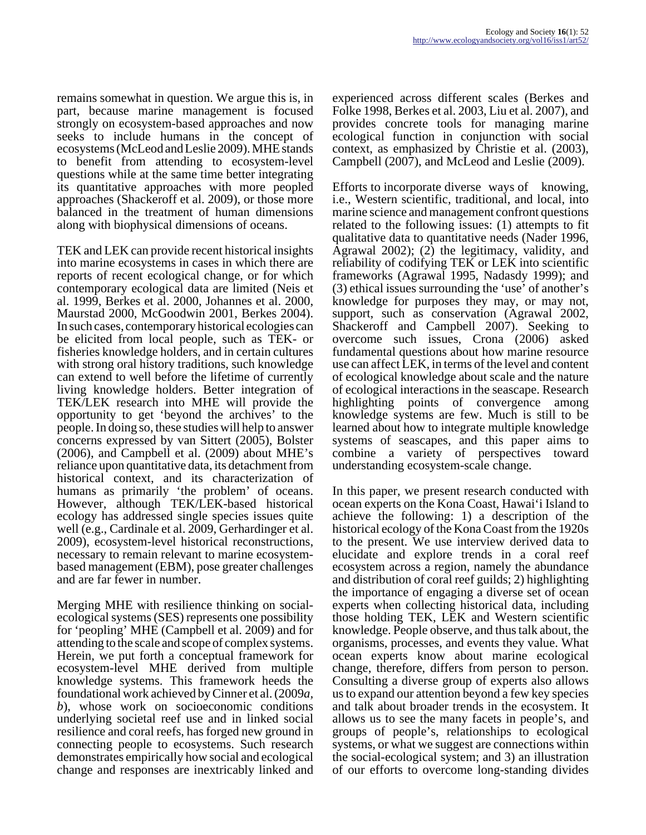remains somewhat in question. We argue this is, in part, because marine management is focused strongly on ecosystem-based approaches and now seeks to include humans in the concept of ecosystems (McLeod and Leslie 2009). MHE stands to benefit from attending to ecosystem-level questions while at the same time better integrating its quantitative approaches with more peopled approaches (Shackeroff et al. 2009), or those more balanced in the treatment of human dimensions along with biophysical dimensions of oceans.

TEK and LEK can provide recent historical insights into marine ecosystems in cases in which there are reports of recent ecological change, or for which contemporary ecological data are limited (Neis et al. 1999, Berkes et al. 2000, Johannes et al. 2000, Maurstad 2000, McGoodwin 2001, Berkes 2004). In such cases, contemporary historical ecologies can be elicited from local people, such as TEK- or fisheries knowledge holders, and in certain cultures with strong oral history traditions, such knowledge can extend to well before the lifetime of currently living knowledge holders. Better integration of TEK/LEK research into MHE will provide the opportunity to get 'beyond the archives' to the people. In doing so, these studies will help to answer concerns expressed by van Sittert (2005), Bolster (2006), and Campbell et al. (2009) about MHE's reliance upon quantitative data, its detachment from historical context, and its characterization of humans as primarily 'the problem' of oceans. However, although TEK/LEK-based historical ecology has addressed single species issues quite well (e.g., Cardinale et al. 2009, Gerhardinger et al. 2009), ecosystem-level historical reconstructions, necessary to remain relevant to marine ecosystembased management (EBM), pose greater challenges and are far fewer in number.

Merging MHE with resilience thinking on socialecological systems (SES) represents one possibility for 'peopling' MHE (Campbell et al. 2009) and for attending to the scale and scope of complex systems. Herein, we put forth a conceptual framework for ecosystem-level MHE derived from multiple knowledge systems. This framework heeds the foundational work achieved by Cinner et al. (2009*a, b*), whose work on socioeconomic conditions underlying societal reef use and in linked social resilience and coral reefs, has forged new ground in connecting people to ecosystems. Such research demonstrates empirically how social and ecological change and responses are inextricably linked and

experienced across different scales (Berkes and Folke 1998, Berkes et al. 2003, Liu et al. 2007), and provides concrete tools for managing marine ecological function in conjunction with social context, as emphasized by Christie et al. (2003), Campbell (2007), and McLeod and Leslie (2009).

Efforts to incorporate diverse ways of knowing, i.e., Western scientific, traditional, and local, into marine science and management confront questions related to the following issues: (1) attempts to fit qualitative data to quantitative needs (Nader 1996, Agrawal 2002); (2) the legitimacy, validity, and reliability of codifying TEK or LEK into scientific frameworks (Agrawal 1995, Nadasdy 1999); and (3) ethical issues surrounding the 'use' of another's knowledge for purposes they may, or may not, support, such as conservation (Agrawal 2002, Shackeroff and Campbell 2007). Seeking to overcome such issues, Crona (2006) asked fundamental questions about how marine resource use can affect LEK, in terms of the level and content of ecological knowledge about scale and the nature of ecological interactions in the seascape. Research highlighting points of convergence among knowledge systems are few. Much is still to be learned about how to integrate multiple knowledge systems of seascapes, and this paper aims to combine a variety of perspectives toward understanding ecosystem-scale change.

In this paper, we present research conducted with ocean experts on the Kona Coast, Hawai'i Island to achieve the following: 1) a description of the historical ecology of the Kona Coast from the 1920s to the present. We use interview derived data to elucidate and explore trends in a coral reef ecosystem across a region, namely the abundance and distribution of coral reef guilds; 2) highlighting the importance of engaging a diverse set of ocean experts when collecting historical data, including those holding TEK, LEK and Western scientific knowledge. People observe, and thus talk about, the organisms, processes, and events they value. What ocean experts know about marine ecological change, therefore, differs from person to person. Consulting a diverse group of experts also allows us to expand our attention beyond a few key species and talk about broader trends in the ecosystem. It allows us to see the many facets in people's, and groups of people's, relationships to ecological systems, or what we suggest are connections within the social-ecological system; and 3) an illustration of our efforts to overcome long-standing divides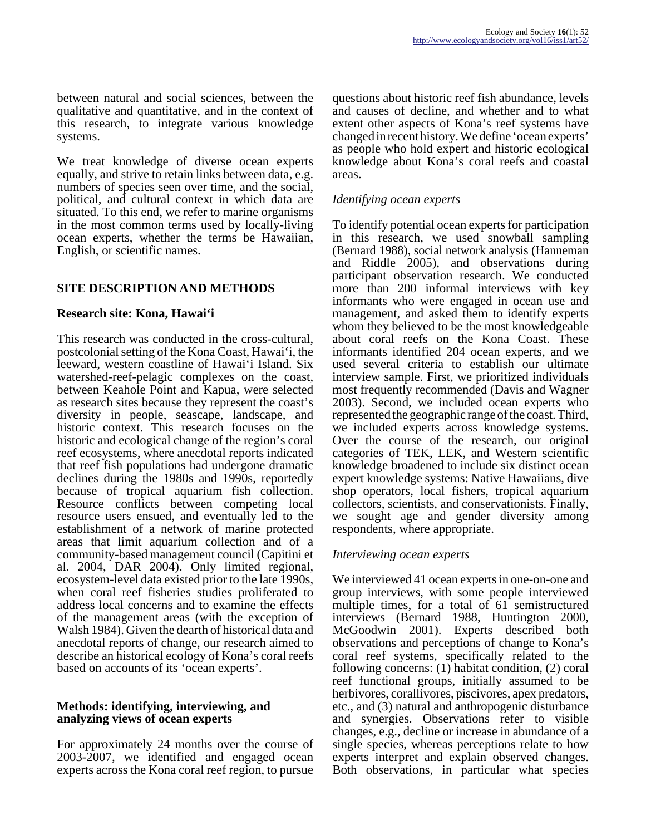between natural and social sciences, between the qualitative and quantitative, and in the context of this research, to integrate various knowledge systems.

We treat knowledge of diverse ocean experts equally, and strive to retain links between data, e.g. numbers of species seen over time, and the social, political, and cultural context in which data are situated. To this end, we refer to marine organisms in the most common terms used by locally-living ocean experts, whether the terms be Hawaiian, English, or scientific names.

# **SITE DESCRIPTION AND METHODS**

#### **Research site: Kona, Hawai'i**

This research was conducted in the cross-cultural, postcolonial setting of the Kona Coast, Hawai'i, the leeward, western coastline of Hawai'i Island. Six watershed-reef-pelagic complexes on the coast, between Keahole Point and Kapua, were selected as research sites because they represent the coast's diversity in people, seascape, landscape, and historic context. This research focuses on the historic and ecological change of the region's coral reef ecosystems, where anecdotal reports indicated that reef fish populations had undergone dramatic declines during the 1980s and 1990s, reportedly because of tropical aquarium fish collection. Resource conflicts between competing local resource users ensued, and eventually led to the establishment of a network of marine protected areas that limit aquarium collection and of a community-based management council (Capitini et al. 2004, DAR 2004). Only limited regional, ecosystem-level data existed prior to the late 1990s, when coral reef fisheries studies proliferated to address local concerns and to examine the effects of the management areas (with the exception of Walsh 1984). Given the dearth of historical data and anecdotal reports of change, our research aimed to describe an historical ecology of Kona's coral reefs based on accounts of its 'ocean experts'.

#### **Methods: identifying, interviewing, and analyzing views of ocean experts**

For approximately 24 months over the course of 2003-2007, we identified and engaged ocean experts across the Kona coral reef region, to pursue

questions about historic reef fish abundance, levels and causes of decline, and whether and to what extent other aspects of Kona's reef systems have changed in recent history. We define 'ocean experts' as people who hold expert and historic ecological knowledge about Kona's coral reefs and coastal areas.

#### *Identifying ocean experts*

To identify potential ocean experts for participation in this research, we used snowball sampling (Bernard 1988), social network analysis (Hanneman and Riddle 2005), and observations during participant observation research. We conducted more than 200 informal interviews with key informants who were engaged in ocean use and management, and asked them to identify experts whom they believed to be the most knowledgeable about coral reefs on the Kona Coast. These informants identified 204 ocean experts, and we used several criteria to establish our ultimate interview sample. First, we prioritized individuals most frequently recommended (Davis and Wagner 2003). Second, we included ocean experts who represented the geographic range of the coast. Third, we included experts across knowledge systems. Over the course of the research, our original categories of TEK, LEK, and Western scientific knowledge broadened to include six distinct ocean expert knowledge systems: Native Hawaiians, dive shop operators, local fishers, tropical aquarium collectors, scientists, and conservationists. Finally, we sought age and gender diversity among respondents, where appropriate.

#### *Interviewing ocean experts*

We interviewed 41 ocean experts in one-on-one and group interviews, with some people interviewed multiple times, for a total of 61 semistructured interviews (Bernard 1988, Huntington 2000, McGoodwin 2001). Experts described both observations and perceptions of change to Kona's coral reef systems, specifically related to the following concerns: (1) habitat condition, (2) coral reef functional groups, initially assumed to be herbivores, corallivores, piscivores, apex predators, etc., and (3) natural and anthropogenic disturbance and synergies. Observations refer to visible changes, e.g., decline or increase in abundance of a single species, whereas perceptions relate to how experts interpret and explain observed changes. Both observations, in particular what species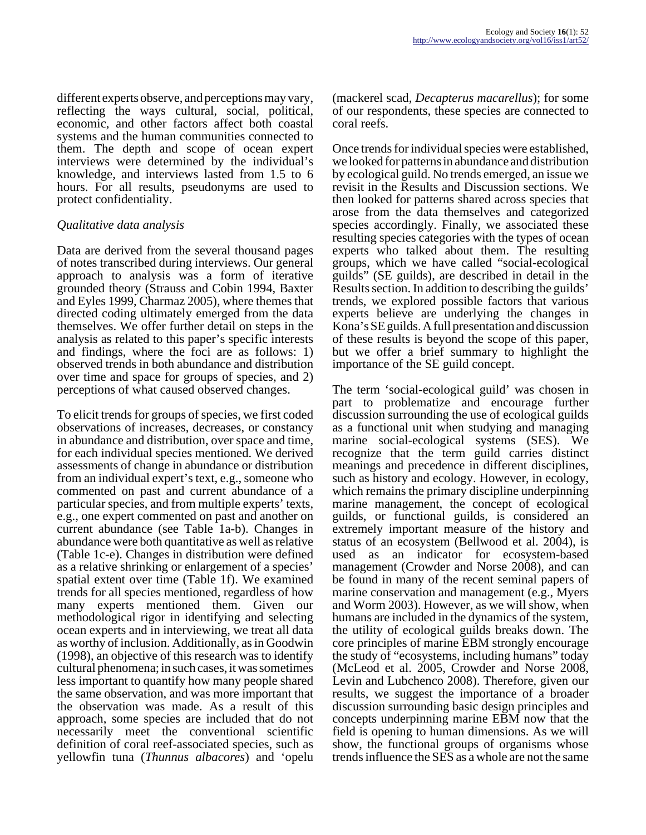different experts observe, and perceptions may vary, reflecting the ways cultural, social, political, economic, and other factors affect both coastal systems and the human communities connected to them. The depth and scope of ocean expert interviews were determined by the individual's knowledge, and interviews lasted from 1.5 to 6 hours. For all results, pseudonyms are used to protect confidentiality.

# *Qualitative data analysis*

Data are derived from the several thousand pages of notes transcribed during interviews. Our general approach to analysis was a form of iterative grounded theory (Strauss and Cobin 1994, Baxter and Eyles 1999, Charmaz 2005), where themes that directed coding ultimately emerged from the data themselves. We offer further detail on steps in the analysis as related to this paper's specific interests and findings, where the foci are as follows: 1) observed trends in both abundance and distribution over time and space for groups of species, and 2) perceptions of what caused observed changes.

To elicit trends for groups of species, we first coded observations of increases, decreases, or constancy in abundance and distribution, over space and time, for each individual species mentioned. We derived assessments of change in abundance or distribution from an individual expert's text, e.g., someone who commented on past and current abundance of a particular species, and from multiple experts' texts, e.g., one expert commented on past and another on current abundance (see Table 1a-b). Changes in abundance were both quantitative as well as relative (Table 1c-e). Changes in distribution were defined as a relative shrinking or enlargement of a species' spatial extent over time (Table 1f). We examined trends for all species mentioned, regardless of how many experts mentioned them. Given our methodological rigor in identifying and selecting ocean experts and in interviewing, we treat all data as worthy of inclusion. Additionally, as in Goodwin (1998), an objective of this research was to identify cultural phenomena; in such cases, it was sometimes less important to quantify how many people shared the same observation, and was more important that the observation was made. As a result of this approach, some species are included that do not necessarily meet the conventional scientific definition of coral reef-associated species, such as yellowfin tuna (*Thunnus albacores*) and 'opelu

(mackerel scad, *Decapterus macarellus*); for some of our respondents, these species are connected to coral reefs.

Once trends for individual species were established, we looked for patterns in abundance and distribution by ecological guild. No trends emerged, an issue we revisit in the Results and Discussion sections. We then looked for patterns shared across species that arose from the data themselves and categorized species accordingly. Finally, we associated these resulting species categories with the types of ocean experts who talked about them. The resulting groups, which we have called "social-ecological guilds" (SE guilds), are described in detail in the Results section. In addition to describing the guilds' trends, we explored possible factors that various experts believe are underlying the changes in Kona's SE guilds. A full presentation and discussion of these results is beyond the scope of this paper, but we offer a brief summary to highlight the importance of the SE guild concept.

The term 'social-ecological guild' was chosen in part to problematize and encourage further discussion surrounding the use of ecological guilds as a functional unit when studying and managing marine social-ecological systems (SES). We recognize that the term guild carries distinct meanings and precedence in different disciplines, such as history and ecology. However, in ecology, which remains the primary discipline underpinning marine management, the concept of ecological guilds, or functional guilds, is considered an extremely important measure of the history and status of an ecosystem (Bellwood et al. 2004), is used as an indicator for ecosystem-based management (Crowder and Norse 2008), and can be found in many of the recent seminal papers of marine conservation and management (e.g., Myers and Worm 2003). However, as we will show, when humans are included in the dynamics of the system, the utility of ecological guilds breaks down. The core principles of marine EBM strongly encourage the study of "ecosystems, including humans" today (McLeod et al. 2005, Crowder and Norse 2008, Levin and Lubchenco 2008). Therefore, given our results, we suggest the importance of a broader discussion surrounding basic design principles and concepts underpinning marine EBM now that the field is opening to human dimensions. As we will show, the functional groups of organisms whose trends influence the SES as a whole are not the same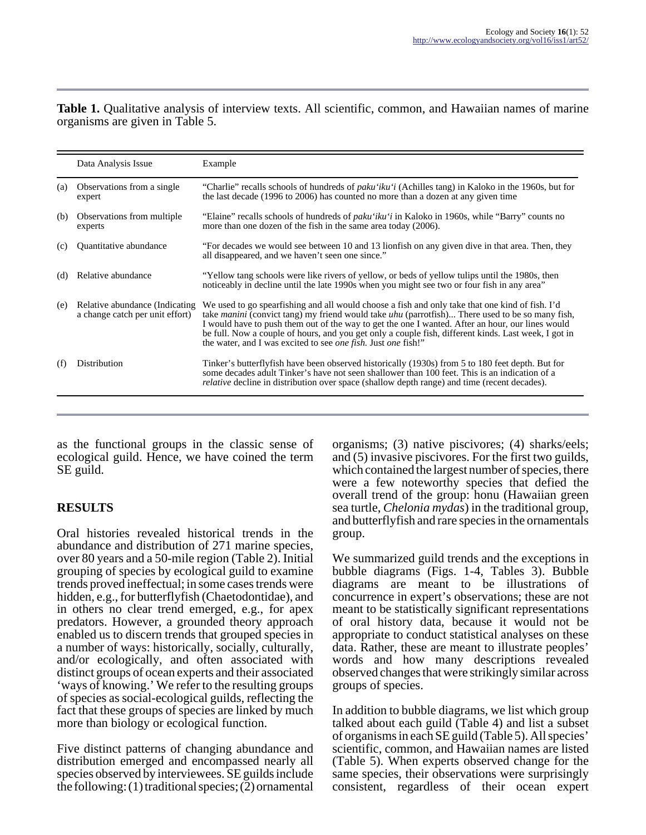**Table 1.** Qualitative analysis of interview texts. All scientific, common, and Hawaiian names of marine organisms are given in Table 5.

|     | Data Analysis Issue                                               | Example                                                                                                                                                                                                                                                                                                                                                                                                                                                                                                      |
|-----|-------------------------------------------------------------------|--------------------------------------------------------------------------------------------------------------------------------------------------------------------------------------------------------------------------------------------------------------------------------------------------------------------------------------------------------------------------------------------------------------------------------------------------------------------------------------------------------------|
| (a) | Observations from a single<br>expert                              | "Charlie" recalls schools of hundreds of <i>paku 'iku'i</i> (Achilles tang) in Kaloko in the 1960s, but for<br>the last decade (1996 to 2006) has counted no more than a dozen at any given time                                                                                                                                                                                                                                                                                                             |
| (b) | Observations from multiple<br>experts                             | "Elaine" recalls schools of hundreds of <i>paku 'iku'i</i> in Kaloko in 1960s, while "Barry" counts no<br>more than one dozen of the fish in the same area today (2006).                                                                                                                                                                                                                                                                                                                                     |
| (c) | Quantitative abundance                                            | "For decades we would see between 10 and 13 lionfish on any given dive in that area. Then, they<br>all disappeared, and we haven't seen one since."                                                                                                                                                                                                                                                                                                                                                          |
| (d) | Relative abundance                                                | "Yellow tang schools were like rivers of yellow, or beds of yellow tulips until the 1980s, then<br>noticeably in decline until the late 1990s when you might see two or four fish in any area"                                                                                                                                                                                                                                                                                                               |
| (e) | Relative abundance (Indicating<br>a change catch per unit effort) | We used to go spearfishing and all would choose a fish and only take that one kind of fish. I'd<br>take <i>manini</i> (convict tang) my friend would take <i>uhu</i> (parrotfish) There used to be so many fish,<br>I would have to push them out of the way to get the one I wanted. After an hour, our lines would<br>be full. Now a couple of hours, and you get only a couple fish, different kinds. Last week, I got in<br>the water, and I was excited to see <i>one fish</i> . Just <i>one</i> fish!" |
| (f) | Distribution                                                      | Tinker's butterflyfish have been observed historically (1930s) from 5 to 180 feet depth. But for<br>some decades adult Tinker's have not seen shallower than 100 feet. This is an indication of a<br><i>relative</i> decline in distribution over space (shallow depth range) and time (recent decades).                                                                                                                                                                                                     |
|     |                                                                   |                                                                                                                                                                                                                                                                                                                                                                                                                                                                                                              |

as the functional groups in the classic sense of ecological guild. Hence, we have coined the term SE guild.

# **RESULTS**

Oral histories revealed historical trends in the abundance and distribution of 271 marine species, over 80 years and a 50-mile region (Table 2). Initial grouping of species by ecological guild to examine trends proved ineffectual; in some cases trends were hidden, e.g., for butterflyfish (Chaetodontidae), and in others no clear trend emerged, e.g., for apex predators. However, a grounded theory approach enabled us to discern trends that grouped species in a number of ways: historically, socially, culturally, and/or ecologically, and often associated with distinct groups of ocean experts and their associated 'ways of knowing.' We refer to the resulting groups of species as social-ecological guilds, reflecting the fact that these groups of species are linked by much more than biology or ecological function.

Five distinct patterns of changing abundance and distribution emerged and encompassed nearly all species observed by interviewees. SE guilds include the following: (1) traditional species; (2) ornamental organisms; (3) native piscivores; (4) sharks/eels; and (5) invasive piscivores. For the first two guilds, which contained the largest number of species, there were a few noteworthy species that defied the overall trend of the group: honu (Hawaiian green sea turtle, *Chelonia mydas*) in the traditional group, and butterflyfish and rare species in the ornamentals group.

We summarized guild trends and the exceptions in bubble diagrams (Figs. 1-4, Tables 3). Bubble diagrams are meant to be illustrations of concurrence in expert's observations; these are not meant to be statistically significant representations of oral history data, because it would not be appropriate to conduct statistical analyses on these data. Rather, these are meant to illustrate peoples' words and how many descriptions revealed observed changes that were strikingly similar across groups of species.

In addition to bubble diagrams, we list which group talked about each guild (Table 4) and list a subset of organisms in each SE guild (Table 5). All species' scientific, common, and Hawaiian names are listed (Table 5). When experts observed change for the same species, their observations were surprisingly consistent, regardless of their ocean expert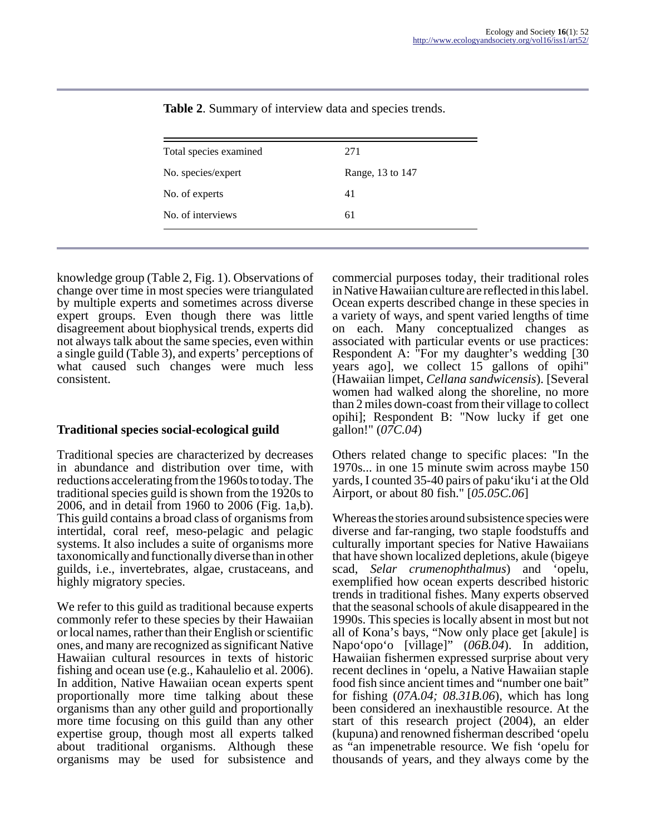| Total species examined | 271              |
|------------------------|------------------|
| No. species/expert     | Range, 13 to 147 |
| No. of experts         | 41               |
| No. of interviews      | 61               |

**Table 2**. Summary of interview data and species trends.

knowledge group (Table 2, Fig. 1). Observations of change over time in most species were triangulated by multiple experts and sometimes across diverse expert groups. Even though there was little disagreement about biophysical trends, experts did not always talk about the same species, even within a single guild (Table 3), and experts' perceptions of what caused such changes were much less consistent.

# **Traditional species social-ecological guild**

Traditional species are characterized by decreases in abundance and distribution over time, with reductions accelerating from the 1960s to today. The traditional species guild is shown from the 1920s to 2006, and in detail from 1960 to 2006 (Fig. 1a,b). This guild contains a broad class of organisms from intertidal, coral reef, meso-pelagic and pelagic systems. It also includes a suite of organisms more taxonomically and functionally diverse than in other guilds, i.e., invertebrates, algae, crustaceans, and highly migratory species.

We refer to this guild as traditional because experts commonly refer to these species by their Hawaiian or local names, rather than their English or scientific ones, and many are recognized as significant Native Hawaiian cultural resources in texts of historic fishing and ocean use (e.g., Kahaulelio et al. 2006). In addition, Native Hawaiian ocean experts spent proportionally more time talking about these organisms than any other guild and proportionally more time focusing on this guild than any other expertise group, though most all experts talked about traditional organisms. Although these organisms may be used for subsistence and

commercial purposes today, their traditional roles in Native Hawaiian culture are reflected in this label. Ocean experts described change in these species in a variety of ways, and spent varied lengths of time on each. Many conceptualized changes as associated with particular events or use practices: Respondent A: "For my daughter's wedding [30 years ago], we collect 15 gallons of opihi" (Hawaiian limpet, *Cellana sandwicensis*). [Several women had walked along the shoreline, no more than 2 miles down-coast from their village to collect opihi]; Respondent B: "Now lucky if get one gallon!" (*07C.04*)

Others related change to specific places: "In the 1970s... in one 15 minute swim across maybe 150 yards, I counted 35-40 pairs of paku'iku'i at the Old Airport, or about 80 fish." [*05.05C.06*]

Whereas the stories around subsistence species were diverse and far-ranging, two staple foodstuffs and culturally important species for Native Hawaiians that have shown localized depletions, akule (bigeye scad, *Selar crumenophthalmus*) and 'opelu, exemplified how ocean experts described historic trends in traditional fishes. Many experts observed that the seasonal schools of akule disappeared in the 1990s. This species is locally absent in most but not all of Kona's bays, "Now only place get [akule] is Napo'opo'o [village]" (*06B.04*). In addition, Hawaiian fishermen expressed surprise about very recent declines in 'opelu, a Native Hawaiian staple food fish since ancient times and "number one bait" for fishing (*07A.04; 08.31B.06*), which has long been considered an inexhaustible resource. At the start of this research project (2004), an elder (kupuna) and renowned fisherman described 'opelu as "an impenetrable resource. We fish 'opelu for thousands of years, and they always come by the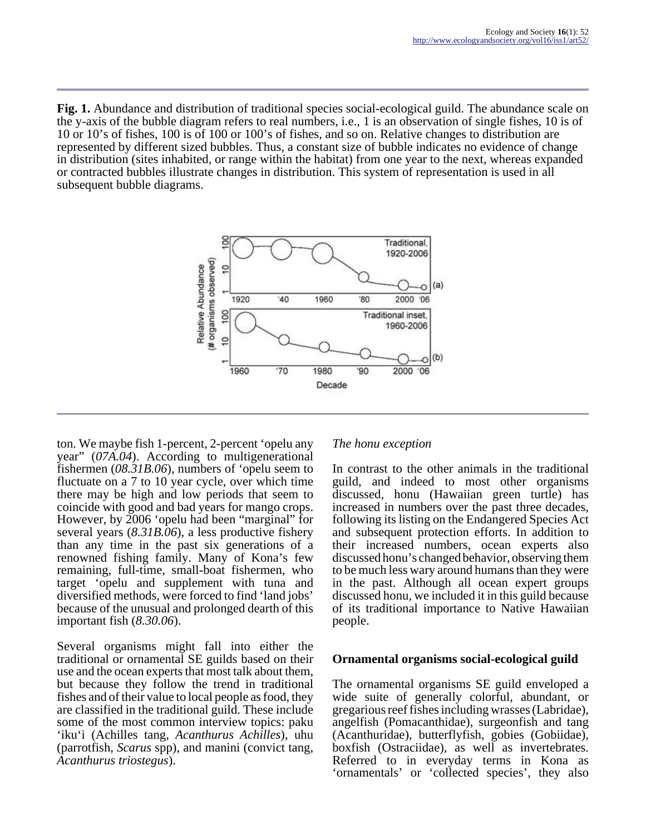**Fig. 1.** Abundance and distribution of traditional species social-ecological guild. The abundance scale on the y-axis of the bubble diagram refers to real numbers, i.e., 1 is an observation of single fishes, 10 is of 10 or 10's of fishes, 100 is of 100 or 100's of fishes, and so on. Relative changes to distribution are represented by different sized bubbles. Thus, a constant size of bubble indicates no evidence of change in distribution (sites inhabited, or range within the habitat) from one year to the next, whereas expanded or contracted bubbles illustrate changes in distribution. This system of representation is used in all subsequent bubble diagrams.



ton. We maybe fish 1-percent, 2-percent 'opelu any year" (*07A.04*). According to multigenerational fishermen (*08.31B.06*), numbers of 'opelu seem to fluctuate on a 7 to 10 year cycle, over which time there may be high and low periods that seem to coincide with good and bad years for mango crops. However, by 2006 'opelu had been "marginal" for several years (*8.31B.06*), a less productive fishery than any time in the past six generations of a renowned fishing family. Many of Kona's few remaining, full-time, small-boat fishermen, who target 'opelu and supplement with tuna and diversified methods, were forced to find 'land jobs' because of the unusual and prolonged dearth of this important fish (*8.30.06*).

Several organisms might fall into either the traditional or ornamental SE guilds based on their use and the ocean experts that most talk about them, but because they follow the trend in traditional fishes and of their value to local people as food, they are classified in the traditional guild. These include some of the most common interview topics: paku 'iku'i (Achilles tang, *Acanthurus Achilles*), uhu (parrotfish, *Scarus* spp), and manini (convict tang, *Acanthurus triostegus*).

# *The honu exception*

In contrast to the other animals in the traditional guild, and indeed to most other organisms discussed, honu (Hawaiian green turtle) has increased in numbers over the past three decades, following its listing on the Endangered Species Act and subsequent protection efforts. In addition to their increased numbers, ocean experts also discussed honu's changed behavior, observing them to be much less wary around humans than they were in the past. Although all ocean expert groups discussed honu, we included it in this guild because of its traditional importance to Native Hawaiian people.

# **Ornamental organisms social-ecological guild**

The ornamental organisms SE guild enveloped a wide suite of generally colorful, abundant, or gregarious reef fishes including wrasses (Labridae), angelfish (Pomacanthidae), surgeonfish and tang (Acanthuridae), butterflyfish, gobies (Gobiidae), boxfish (Ostraciidae), as well as invertebrates. Referred to in everyday terms in Kona as 'ornamentals' or 'collected species', they also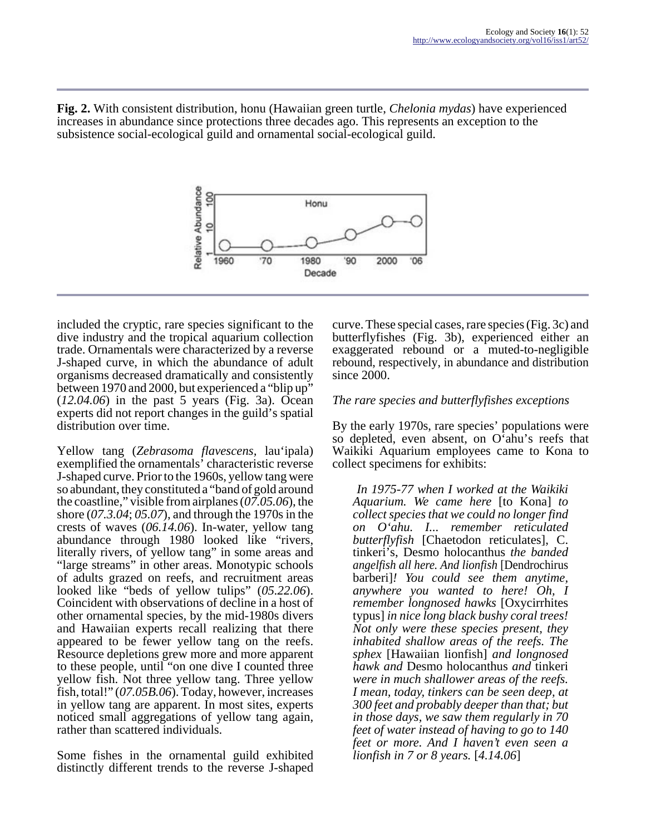**Fig. 2.** With consistent distribution, honu (Hawaiian green turtle, *Chelonia mydas*) have experienced increases in abundance since protections three decades ago. This represents an exception to the subsistence social-ecological guild and ornamental social-ecological guild.



included the cryptic, rare species significant to the dive industry and the tropical aquarium collection trade. Ornamentals were characterized by a reverse J-shaped curve, in which the abundance of adult organisms decreased dramatically and consistently between 1970 and 2000, but experienced a "blip up" (*12.04.06*) in the past 5 years (Fig. 3a). Ocean experts did not report changes in the guild's spatial distribution over time.

Yellow tang (*Zebrasoma flavescens,* lau'ipala) exemplified the ornamentals' characteristic reverse J-shaped curve. Prior to the 1960s, yellow tang were so abundant, they constituted a "band of gold around the coastline," visible from airplanes (*07.05.06*), the shore (*07.3.04*; *05.07*), and through the 1970s in the crests of waves (*06.14.06*). In-water, yellow tang abundance through 1980 looked like "rivers, literally rivers, of yellow tang" in some areas and "large streams" in other areas. Monotypic schools of adults grazed on reefs, and recruitment areas looked like "beds of yellow tulips" (*05.22.06*). Coincident with observations of decline in a host of other ornamental species, by the mid-1980s divers and Hawaiian experts recall realizing that there appeared to be fewer yellow tang on the reefs. Resource depletions grew more and more apparent to these people, until "on one dive I counted three yellow fish. Not three yellow tang. Three yellow fish, total!" (*07.05B.06*). Today, however, increases in yellow tang are apparent. In most sites, experts noticed small aggregations of yellow tang again, rather than scattered individuals.

Some fishes in the ornamental guild exhibited distinctly different trends to the reverse J-shaped curve. These special cases, rare species (Fig. 3c) and butterflyfishes (Fig. 3b), experienced either an exaggerated rebound or a muted-to-negligible rebound, respectively, in abundance and distribution since 2000.

# *The rare species and butterflyfishes exceptions*

By the early 1970s, rare species' populations were so depleted, even absent, on O'ahu's reefs that Waikiki Aquarium employees came to Kona to collect specimens for exhibits:

*In 1975-77 when I worked at the Waikiki Aquarium. We came here* [to Kona] *to collect species that we could no longer find on O'ahu. I... remember reticulated butterflyfish* [Chaetodon reticulates], C. tinkeri's, Desmo holocanthus *the banded angelfish all here. And lionfish* [Dendrochirus barberi]*! You could see them anytime, anywhere you wanted to here! Oh, I remember longnosed hawks* [Oxycirrhites typus] *in nice long black bushy coral trees! Not only were these species present, they inhabited shallow areas of the reefs. The sphex* [Hawaiian lionfish] *and longnosed hawk and* Desmo holocanthus *and* tinkeri *were in much shallower areas of the reefs. I mean, today, tinkers can be seen deep, at 300 feet and probably deeper than that; but in those days, we saw them regularly in 70 feet of water instead of having to go to 140 feet or more. And I haven't even seen a lionfish in 7 or 8 years.* [*4.14.06*]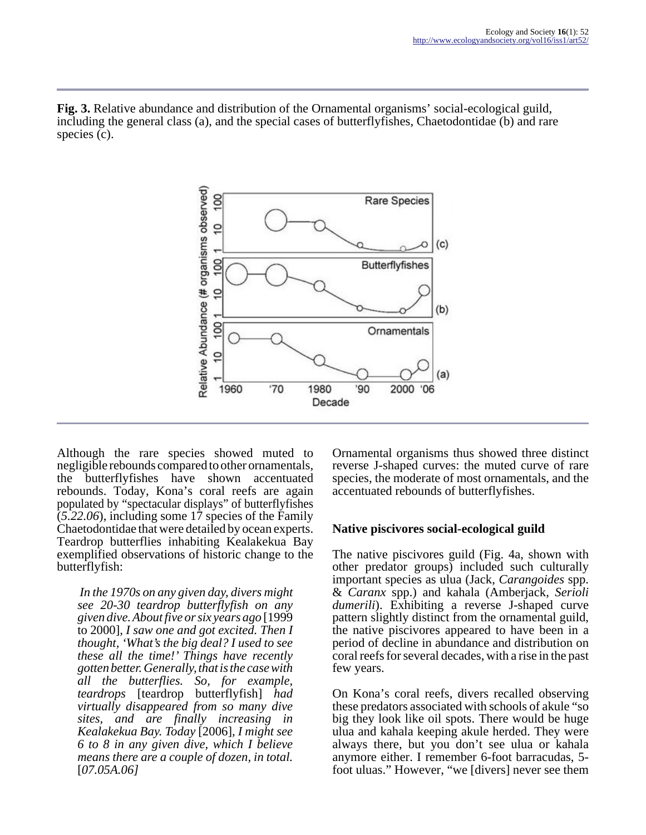**Fig. 3.** Relative abundance and distribution of the Ornamental organisms' social-ecological guild, including the general class (a), and the special cases of butterflyfishes, Chaetodontidae (b) and rare species (c).



Although the rare species showed muted to negligible rebounds compared to other ornamentals, the butterflyfishes have shown accentuated rebounds. Today, Kona's coral reefs are again populated by "spectacular displays" of butterflyfishes (*5.22.06*), including some 17 species of the Family Chaetodontidae that were detailed by ocean experts. Teardrop butterflies inhabiting Kealakekua Bay exemplified observations of historic change to the butterflyfish:

*In the 1970s on any given day, divers might see 20-30 teardrop butterflyfish on any given dive. About five or six years ago* [1999 to 2000]*, I saw one and got excited. Then I thought, 'What's the big deal? I used to see these all the time!' Things have recently gotten better. Generally, that is the case with all the butterflies. So, for example, teardrops* [teardrop butterflyfish] *had virtually disappeared from so many dive sites, and are finally increasing in Kealakekua Bay. Today* [2006]*, I might see 6 to 8 in any given dive, which I believe means there are a couple of dozen, in total.* [*07.05A.06]*

Ornamental organisms thus showed three distinct reverse J-shaped curves: the muted curve of rare species, the moderate of most ornamentals, and the accentuated rebounds of butterflyfishes.

# **Native piscivores social-ecological guild**

The native piscivores guild (Fig. 4a, shown with other predator groups) included such culturally important species as ulua (Jack, *Carangoides* spp. & *Caranx* spp.) and kahala (Amberjack, *Serioli dumerili*). Exhibiting a reverse J-shaped curve pattern slightly distinct from the ornamental guild, the native piscivores appeared to have been in a period of decline in abundance and distribution on coral reefs for several decades, with a rise in the past few years.

On Kona's coral reefs, divers recalled observing these predators associated with schools of akule "so big they look like oil spots. There would be huge ulua and kahala keeping akule herded. They were always there, but you don't see ulua or kahala anymore either. I remember 6-foot barracudas, 5 foot uluas." However, "we [divers] never see them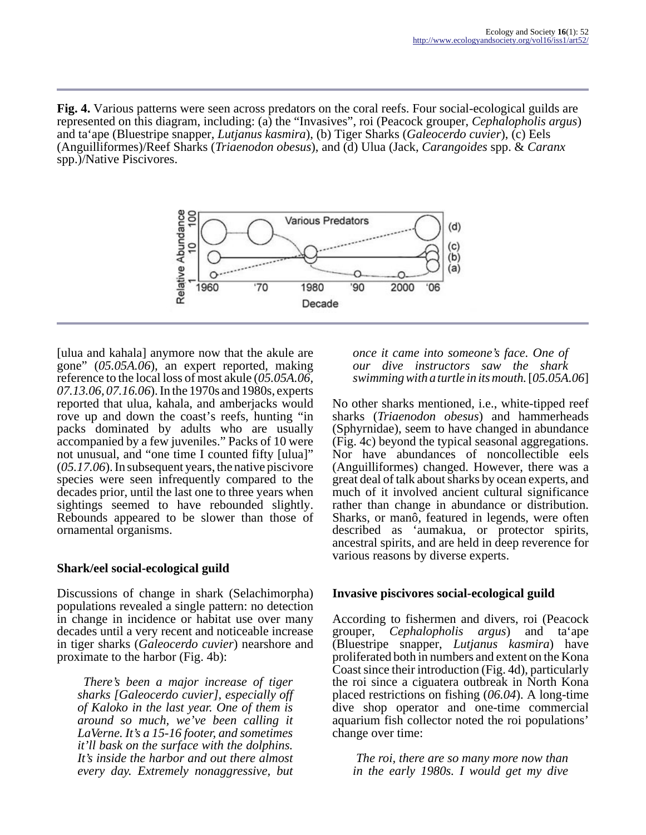**Fig. 4.** Various patterns were seen across predators on the coral reefs. Four social-ecological guilds are represented on this diagram, including: (a) the "Invasives", roi (Peacock grouper, *Cephalopholis argus*) and ta'ape (Bluestripe snapper, *Lutjanus kasmira*), (b) Tiger Sharks (*Galeocerdo cuvier*), (c) Eels (Anguilliformes)/Reef Sharks (*Triaenodon obesus*), and (d) Ulua (Jack, *Carangoides* spp. & *Caranx* spp.)/Native Piscivores.



[ulua and kahala] anymore now that the akule are gone" (*05.05A.06*), an expert reported, making reference to the local loss of most akule (*05.05A.06, 07.13.06, 07.16.06*). In the 1970s and 1980s, experts reported that ulua, kahala, and amberjacks would rove up and down the coast's reefs, hunting "in packs dominated by adults who are usually accompanied by a few juveniles." Packs of 10 were not unusual, and "one time I counted fifty [ulua]" (*05.17.06*). In subsequent years, the native piscivore species were seen infrequently compared to the decades prior, until the last one to three years when sightings seemed to have rebounded slightly. Rebounds appeared to be slower than those of ornamental organisms.

#### **Shark/eel social-ecological guild**

Discussions of change in shark (Selachimorpha) populations revealed a single pattern: no detection in change in incidence or habitat use over many decades until a very recent and noticeable increase in tiger sharks (*Galeocerdo cuvier*) nearshore and proximate to the harbor (Fig. 4b):

*There's been a major increase of tiger sharks [Galeocerdo cuvier], especially off of Kaloko in the last year. One of them is around so much, we've been calling it LaVerne. It's a 15-16 footer, and sometimes it'll bask on the surface with the dolphins. It's inside the harbor and out there almost every day. Extremely nonaggressive, but*

*once it came into someone's face. One of our dive instructors saw the shark swimming with a turtle in its mouth.* [*05.05A.06*]

No other sharks mentioned, i.e., white-tipped reef sharks (*Triaenodon obesus*) and hammerheads (Sphyrnidae), seem to have changed in abundance (Fig. 4c) beyond the typical seasonal aggregations. Nor have abundances of noncollectible eels (Anguilliformes) changed. However, there was a great deal of talk about sharks by ocean experts, and much of it involved ancient cultural significance rather than change in abundance or distribution. Sharks, or manô, featured in legends, were often described as 'aumakua, or protector spirits, ancestral spirits, and are held in deep reverence for various reasons by diverse experts.

# **Invasive piscivores social-ecological guild**

According to fishermen and divers, roi (Peacock grouper, *Cephalopholis argus*) and ta'ape (Bluestripe snapper, *Lutjanus kasmira*) have proliferated both in numbers and extent on the Kona Coast since their introduction (Fig. 4d), particularly the roi since a ciguatera outbreak in North Kona placed restrictions on fishing (*06.04*). A long-time dive shop operator and one-time commercial aquarium fish collector noted the roi populations' change over time:

*The roi, there are so many more now than in the early 1980s. I would get my dive*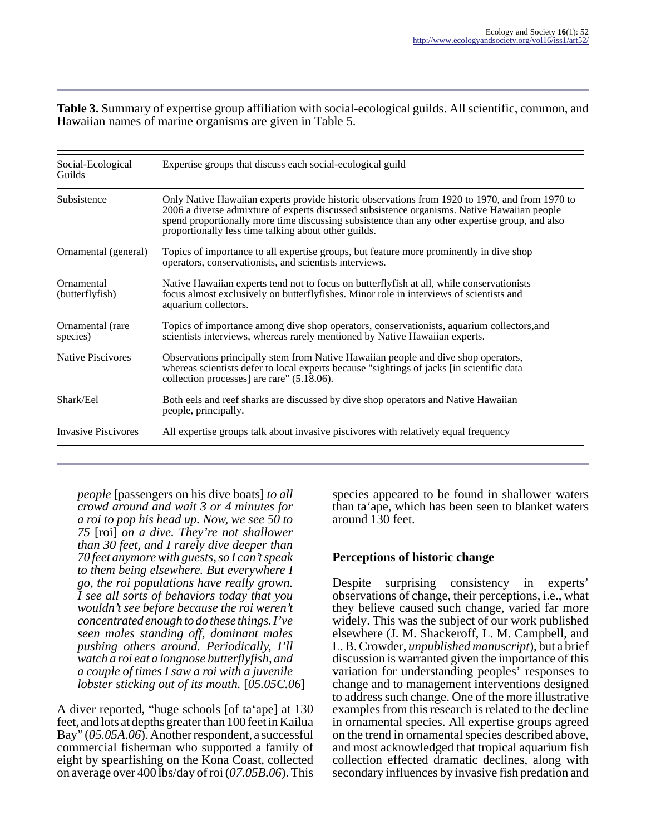| Social-Ecological<br>Guilds   | Expertise groups that discuss each social-ecological guild                                                                                                                                                                                                                                                                                              |
|-------------------------------|---------------------------------------------------------------------------------------------------------------------------------------------------------------------------------------------------------------------------------------------------------------------------------------------------------------------------------------------------------|
| Subsistence                   | Only Native Hawaiian experts provide historic observations from 1920 to 1970, and from 1970 to<br>2006 a diverse admixture of experts discussed subsistence organisms. Native Hawaiian people<br>spend proportionally more time discussing subsistence than any other expertise group, and also<br>proportionally less time talking about other guilds. |
| Ornamental (general)          | Topics of importance to all expertise groups, but feature more prominently in dive shop<br>operators, conservationists, and scientists interviews.                                                                                                                                                                                                      |
| Ornamental<br>(butterflyfish) | Native Hawaiian experts tend not to focus on butterflyfish at all, while conservationists<br>focus almost exclusively on butterflyfishes. Minor role in interviews of scientists and<br>aquarium collectors.                                                                                                                                            |
| Ornamental (rare<br>species)  | Topics of importance among dive shop operators, conservationists, aquarium collectors, and<br>scientists interviews, whereas rarely mentioned by Native Hawaiian experts.                                                                                                                                                                               |
| <b>Native Piscivores</b>      | Observations principally stem from Native Hawaiian people and dive shop operators,<br>whereas scientists defer to local experts because "sightings of jacks [in scientific data<br>collection processes] are rare" (5.18.06).                                                                                                                           |
| Shark/Eel                     | Both eels and reef sharks are discussed by dive shop operators and Native Hawaiian<br>people, principally.                                                                                                                                                                                                                                              |
| <b>Invasive Piscivores</b>    | All expertise groups talk about invasive piscivores with relatively equal frequency                                                                                                                                                                                                                                                                     |

**Table 3.** Summary of expertise group affiliation with social-ecological guilds. All scientific, common, and Hawaiian names of marine organisms are given in Table 5.

*people* [passengers on his dive boats] *to all crowd around and wait 3 or 4 minutes for a roi to pop his head up. Now, we see 50 to 75* [roi] *on a dive. They're not shallower than 30 feet, and I rarely dive deeper than 70 feet anymore with guests, so I can't speak to them being elsewhere. But everywhere I go, the roi populations have really grown. I see all sorts of behaviors today that you wouldn't see before because the roi weren't concentrated enough to do these things. I've seen males standing off, dominant males pushing others around. Periodically, I'll watch a roi eat a longnose butterflyfish, and a couple of times I saw a roi with a juvenile lobster sticking out of its mouth.* [*05.05C.06*]

A diver reported, "huge schools [of ta'ape] at 130 feet, and lots at depths greater than 100 feet in Kailua Bay" (*05.05A.06*). Another respondent, a successful commercial fisherman who supported a family of eight by spearfishing on the Kona Coast, collected on average over 400 lbs/day of roi (*07.05B.06*). This

species appeared to be found in shallower waters than ta'ape, which has been seen to blanket waters around 130 feet.

# **Perceptions of historic change**

Despite surprising consistency in experts' observations of change, their perceptions, i.e., what they believe caused such change, varied far more widely. This was the subject of our work published elsewhere (J. M. Shackeroff, L. M. Campbell, and L. B. Crowder, *unpublished manuscript*), but a brief discussion is warranted given the importance of this variation for understanding peoples' responses to change and to management interventions designed to address such change. One of the more illustrative examples from this research is related to the decline in ornamental species. All expertise groups agreed on the trend in ornamental species described above, and most acknowledged that tropical aquarium fish collection effected dramatic declines, along with secondary influences by invasive fish predation and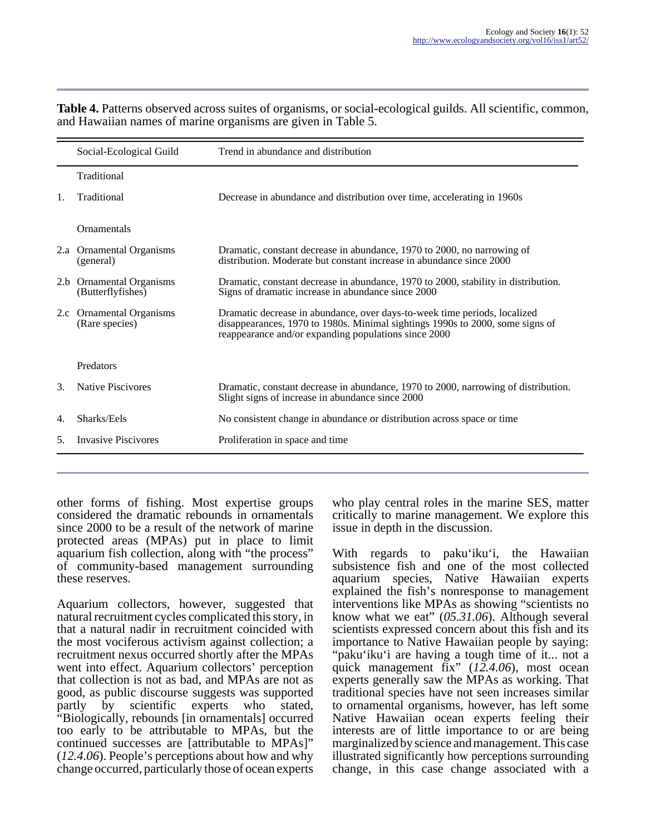|               | Social-Ecological Guild                          | Trend in abundance and distribution                                                                                                                                                                                |  |
|---------------|--------------------------------------------------|--------------------------------------------------------------------------------------------------------------------------------------------------------------------------------------------------------------------|--|
|               | Traditional                                      |                                                                                                                                                                                                                    |  |
| 1.            | Traditional                                      | Decrease in abundance and distribution over time, accelerating in 1960s                                                                                                                                            |  |
|               | Ornamentals                                      |                                                                                                                                                                                                                    |  |
|               | 2.a Ornamental Organisms<br>(general)            | Dramatic, constant decrease in abundance, 1970 to 2000, no narrowing of<br>distribution. Moderate but constant increase in abundance since 2000                                                                    |  |
| 2.b           | <b>Ornamental Organisms</b><br>(Butterflyfishes) | Dramatic, constant decrease in abundance, 1970 to 2000, stability in distribution.<br>Signs of dramatic increase in abundance since 2000                                                                           |  |
| 2.c           | <b>Ornamental Organisms</b><br>(Rare species)    | Dramatic decrease in abundance, over days-to-week time periods, localized<br>disappearances, 1970 to 1980s. Minimal sightings 1990s to 2000, some signs of<br>reappearance and/or expanding populations since 2000 |  |
|               | Predators                                        |                                                                                                                                                                                                                    |  |
| $\mathcal{E}$ | Native Piscivores                                | Dramatic, constant decrease in abundance, 1970 to 2000, narrowing of distribution.<br>Slight signs of increase in abundance since 2000                                                                             |  |
| 4.            | Sharks/Eels                                      | No consistent change in abundance or distribution across space or time                                                                                                                                             |  |
| 5.            | <b>Invasive Piscivores</b>                       | Proliferation in space and time                                                                                                                                                                                    |  |

**Table 4.** Patterns observed across suites of organisms, or social-ecological guilds. All scientific, common, and Hawaiian names of marine organisms are given in Table 5.

other forms of fishing. Most expertise groups considered the dramatic rebounds in ornamentals since 2000 to be a result of the network of marine protected areas (MPAs) put in place to limit aquarium fish collection, along with "the process" of community-based management surrounding these reserves.

Aquarium collectors, however, suggested that natural recruitment cycles complicated this story, in that a natural nadir in recruitment coincided with the most vociferous activism against collection; a recruitment nexus occurred shortly after the MPAs went into effect. Aquarium collectors' perception that collection is not as bad, and MPAs are not as good, as public discourse suggests was supported partly by scientific experts who stated, "Biologically, rebounds [in ornamentals] occurred too early to be attributable to MPAs, but the continued successes are [attributable to MPAs]" (*12.4.06*). People's perceptions about how and why change occurred, particularly those of ocean experts who play central roles in the marine SES, matter critically to marine management. We explore this issue in depth in the discussion.

With regards to paku'iku'i, the Hawaiian subsistence fish and one of the most collected aquarium species, Native Hawaiian experts explained the fish's nonresponse to management interventions like MPAs as showing "scientists no know what we eat" (*05.31.06*). Although several scientists expressed concern about this fish and its importance to Native Hawaiian people by saying: "paku'iku'i are having a tough time of it... not a quick management fix" (*12.4.06*), most ocean experts generally saw the MPAs as working. That traditional species have not seen increases similar to ornamental organisms, however, has left some Native Hawaiian ocean experts feeling their interests are of little importance to or are being marginalized by science and management. This case illustrated significantly how perceptions surrounding change, in this case change associated with a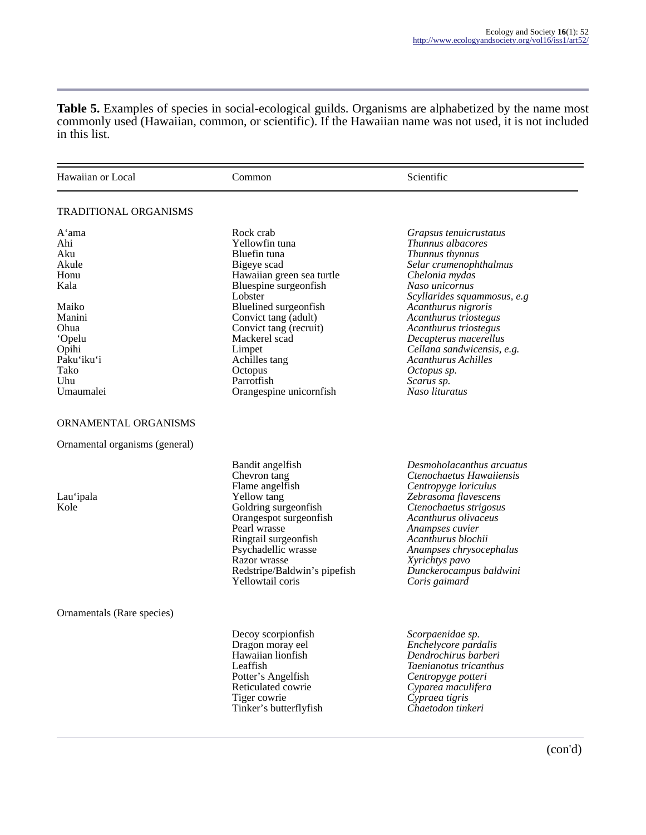**Table 5.** Examples of species in social-ecological guilds. Organisms are alphabetized by the name most commonly used (Hawaiian, common, or scientific). If the Hawaiian name was not used, it is not included in this list.

| Hawaiian or Local                                                                                                                    | Common                                                                                                                                                                                                                                                                                                 | Scientific                                                                                                                                                                                                                                                                                                                                                               |
|--------------------------------------------------------------------------------------------------------------------------------------|--------------------------------------------------------------------------------------------------------------------------------------------------------------------------------------------------------------------------------------------------------------------------------------------------------|--------------------------------------------------------------------------------------------------------------------------------------------------------------------------------------------------------------------------------------------------------------------------------------------------------------------------------------------------------------------------|
| <b>TRADITIONAL ORGANISMS</b>                                                                                                         |                                                                                                                                                                                                                                                                                                        |                                                                                                                                                                                                                                                                                                                                                                          |
| A'ama<br>Ahi<br>Aku<br>Akule<br>Honu<br>Kala<br>Maiko<br>Manini<br>Ohua<br>'Opelu<br>Opihi<br>Paku'iku'i<br>Tako<br>Uhu<br>Umaumalei | Rock crab<br>Yellowfin tuna<br>Bluefin tuna<br>Bigeye scad<br>Hawaiian green sea turtle<br>Bluespine surgeonfish<br>Lobster<br>Bluelined surgeonfish<br>Convict tang (adult)<br>Convict tang (recruit)<br>Mackerel scad<br>Limpet<br>Achilles tang<br>Octopus<br>Parrotfish<br>Orangespine unicornfish | Grapsus tenuicrustatus<br>Thunnus albacores<br>Thunnus thynnus<br>Selar crumenophthalmus<br>Chelonia mydas<br>Naso unicornus<br>Scyllarides squammosus, e.g<br>Acanthurus nigroris<br>Acanthurus triostegus<br>Acanthurus triostegus<br>Decapterus macerellus<br>Cellana sandwicensis, e.g.<br><b>Acanthurus Achilles</b><br>Octopus sp.<br>Scarus sp.<br>Naso lituratus |
|                                                                                                                                      |                                                                                                                                                                                                                                                                                                        |                                                                                                                                                                                                                                                                                                                                                                          |
| ORNAMENTAL ORGANISMS<br>Ornamental organisms (general)                                                                               |                                                                                                                                                                                                                                                                                                        |                                                                                                                                                                                                                                                                                                                                                                          |
| Lau'ipala<br>Kole                                                                                                                    | Bandit angelfish<br>Chevron tang<br>Flame angelfish<br>Yellow tang<br>Goldring surgeonfish<br>Orangespot surgeonfish<br>Pearl wrasse<br>Ringtail surgeonfish<br>Psychadellic wrasse<br>Razor wrasse<br>Redstripe/Baldwin's pipefish<br>Yellowtail coris                                                | Desmoholacanthus arcuatus<br>Ctenochaetus Hawaiiensis<br>Centropyge loriculus<br>Zebrasoma flavescens<br>Ctenochaetus strigosus<br>Acanthurus olivaceus<br>Anampses cuvier<br>Acanthurus blochii<br>Anampses chrysocephalus<br>Xyrichtys pavo<br>Dunckerocampus baldwini<br>Coris gaimard                                                                                |
| Ornamentals (Rare species)                                                                                                           |                                                                                                                                                                                                                                                                                                        |                                                                                                                                                                                                                                                                                                                                                                          |
|                                                                                                                                      | Decoy scorpionfish<br>Dragon moray eel<br>Hawaiian lionfish<br>Leaffish<br>Potter's Angelfish<br>Reticulated cowrie<br>Tiger cowrie<br>Tinker's butterflyfish                                                                                                                                          | Scorpaenidae sp.<br>Enchelycore pardalis<br>Dendrochirus barberi<br>Taenianotus tricanthus<br>Centropyge potteri<br>Cyparea maculifera<br>Cypraea tigris<br>Chaetodon tinkeri                                                                                                                                                                                            |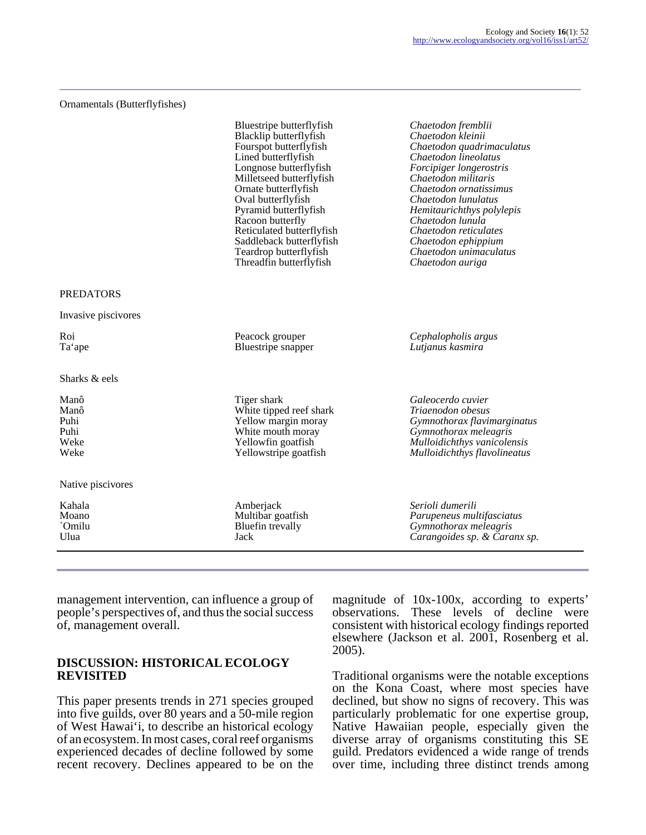#### Ornamentals (Butterflyfishes)

|                                              | Bluestripe butterflyfish<br>Blacklip butterflyfish<br>Fourspot butterflyfish<br>Lined butterflyfish<br>Longnose butterflyfish<br>Milletseed butterflyfish<br>Ornate butterflyfish<br>Oval butterflyfish<br>Pyramid butterflyfish<br>Racoon butterfly<br>Reticulated butterflyfish<br>Saddleback butterflyfish<br>Teardrop butterflyfish<br>Threadfin butterflyfish | Chaetodon fremblii<br>Chaetodon kleinii<br>Chaetodon quadrimaculatus<br>Chaetodon lineolatus<br>Forcipiger longerostris<br>Chaetodon militaris<br>Chaetodon ornatissimus<br>Chaetodon lunulatus<br>Hemitaurichthys polylepis<br>Chaetodon lunula<br>Chaetodon reticulates<br>Chaetodon ephippium<br>Chaetodon unimaculatus<br>Chaetodon auriga |
|----------------------------------------------|--------------------------------------------------------------------------------------------------------------------------------------------------------------------------------------------------------------------------------------------------------------------------------------------------------------------------------------------------------------------|------------------------------------------------------------------------------------------------------------------------------------------------------------------------------------------------------------------------------------------------------------------------------------------------------------------------------------------------|
| <b>PREDATORS</b>                             |                                                                                                                                                                                                                                                                                                                                                                    |                                                                                                                                                                                                                                                                                                                                                |
| Invasive piscivores                          |                                                                                                                                                                                                                                                                                                                                                                    |                                                                                                                                                                                                                                                                                                                                                |
| Roi<br>Ta'ape                                | Peacock grouper<br>Bluestripe snapper                                                                                                                                                                                                                                                                                                                              | Cephalopholis argus<br>Lutjanus kasmira                                                                                                                                                                                                                                                                                                        |
| Sharks & eels                                |                                                                                                                                                                                                                                                                                                                                                                    |                                                                                                                                                                                                                                                                                                                                                |
| Manô<br>Manô<br>Puhi<br>Puhi<br>Weke<br>Weke | Tiger shark<br>White tipped reef shark<br>Yellow margin moray<br>White mouth moray<br>Yellowfin goatfish<br>Yellowstripe goatfish                                                                                                                                                                                                                                  | Galeocerdo cuvier<br>Triaenodon obesus<br>Gymnothorax flavimarginatus<br>Gymnothorax meleagris<br>Mulloidichthys vanicolensis<br>Mulloidichthys flavolineatus                                                                                                                                                                                  |
| Native piscivores                            |                                                                                                                                                                                                                                                                                                                                                                    |                                                                                                                                                                                                                                                                                                                                                |
| Kahala<br>Moano<br>`Omilu<br>Ulua            | Amberjack<br>Multibar goatfish<br>Bluefin trevally<br>Jack                                                                                                                                                                                                                                                                                                         | Serioli dumerili<br>Parupeneus multifasciatus<br>Gymnothorax meleagris<br>Carangoides sp. & Caranx sp.                                                                                                                                                                                                                                         |

management intervention, can influence a group of people's perspectives of, and thus the social success of, management overall.

#### **DISCUSSION: HISTORICAL ECOLOGY REVISITED**

This paper presents trends in 271 species grouped into five guilds, over 80 years and a 50-mile region of West Hawai'i, to describe an historical ecology of an ecosystem. In most cases, coral reef organisms experienced decades of decline followed by some recent recovery. Declines appeared to be on the

magnitude of 10x-100x, according to experts' observations. These levels of decline were consistent with historical ecology findings reported elsewhere (Jackson et al. 2001, Rosenberg et al. 2005).

Traditional organisms were the notable exceptions on the Kona Coast, where most species have declined, but show no signs of recovery. This was particularly problematic for one expertise group, Native Hawaiian people, especially given the diverse array of organisms constituting this SE guild. Predators evidenced a wide range of trends over time, including three distinct trends among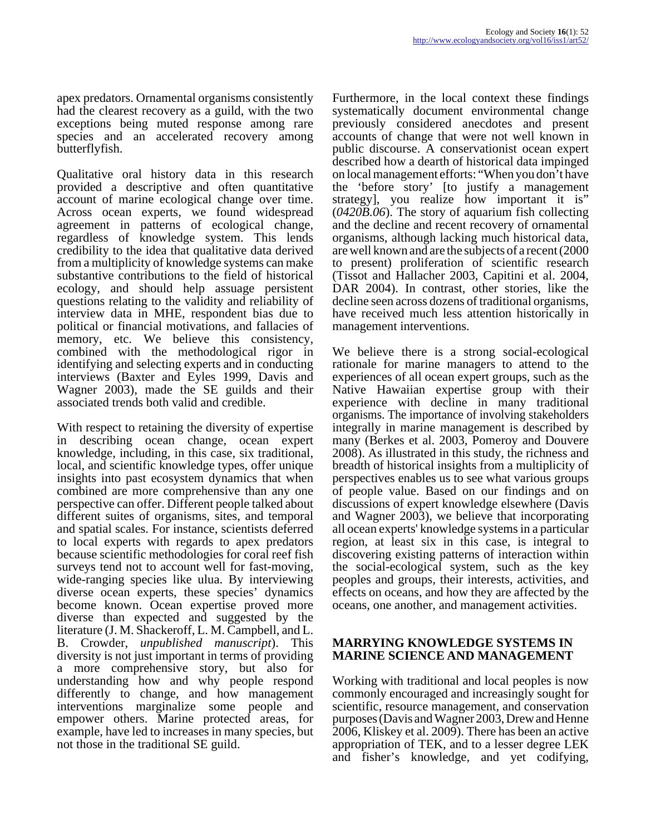apex predators. Ornamental organisms consistently had the clearest recovery as a guild, with the two exceptions being muted response among rare species and an accelerated recovery among butterflyfish.

Qualitative oral history data in this research provided a descriptive and often quantitative account of marine ecological change over time. Across ocean experts, we found widespread agreement in patterns of ecological change, regardless of knowledge system. This lends credibility to the idea that qualitative data derived from a multiplicity of knowledge systems can make substantive contributions to the field of historical ecology, and should help assuage persistent questions relating to the validity and reliability of interview data in MHE, respondent bias due to political or financial motivations, and fallacies of memory, etc. We believe this consistency, combined with the methodological rigor in identifying and selecting experts and in conducting interviews (Baxter and Eyles 1999, Davis and Wagner 2003), made the SE guilds and their associated trends both valid and credible.

With respect to retaining the diversity of expertise in describing ocean change, ocean expert knowledge, including, in this case, six traditional, local, and scientific knowledge types, offer unique insights into past ecosystem dynamics that when combined are more comprehensive than any one perspective can offer. Different people talked about different suites of organisms, sites, and temporal and spatial scales. For instance, scientists deferred to local experts with regards to apex predators because scientific methodologies for coral reef fish surveys tend not to account well for fast-moving, wide-ranging species like ulua. By interviewing diverse ocean experts, these species' dynamics become known. Ocean expertise proved more diverse than expected and suggested by the literature (J. M. Shackeroff, L. M. Campbell, and L. B. Crowder, *unpublished manuscript*). This diversity is not just important in terms of providing a more comprehensive story, but also for understanding how and why people respond differently to change, and how management interventions marginalize some people and empower others. Marine protected areas, for example, have led to increases in many species, but not those in the traditional SE guild.

Furthermore, in the local context these findings systematically document environmental change previously considered anecdotes and present accounts of change that were not well known in public discourse. A conservationist ocean expert described how a dearth of historical data impinged on local management efforts: "When you don't have the 'before story' [to justify a management strategy], you realize how important it is" (*0420B.06*). The story of aquarium fish collecting and the decline and recent recovery of ornamental organisms, although lacking much historical data, are well known and are the subjects of a recent (2000 to present) proliferation of scientific research (Tissot and Hallacher 2003, Capitini et al. 2004, DAR 2004). In contrast, other stories, like the decline seen across dozens of traditional organisms, have received much less attention historically in management interventions.

We believe there is a strong social-ecological rationale for marine managers to attend to the experiences of all ocean expert groups, such as the Native Hawaiian expertise group with their experience with decline in many traditional organisms. The importance of involving stakeholders integrally in marine management is described by many (Berkes et al. 2003, Pomeroy and Douvere 2008). As illustrated in this study, the richness and breadth of historical insights from a multiplicity of perspectives enables us to see what various groups of people value. Based on our findings and on discussions of expert knowledge elsewhere (Davis and Wagner 2003), we believe that incorporating all ocean experts' knowledge systems in a particular region, at least six in this case, is integral to discovering existing patterns of interaction within the social-ecological system, such as the key peoples and groups, their interests, activities, and effects on oceans, and how they are affected by the oceans, one another, and management activities.

#### **MARRYING KNOWLEDGE SYSTEMS IN MARINE SCIENCE AND MANAGEMENT**

Working with traditional and local peoples is now commonly encouraged and increasingly sought for scientific, resource management, and conservation purposes (Davis and Wagner 2003, Drew and Henne 2006, Kliskey et al. 2009). There has been an active appropriation of TEK, and to a lesser degree LEK and fisher's knowledge, and yet codifying,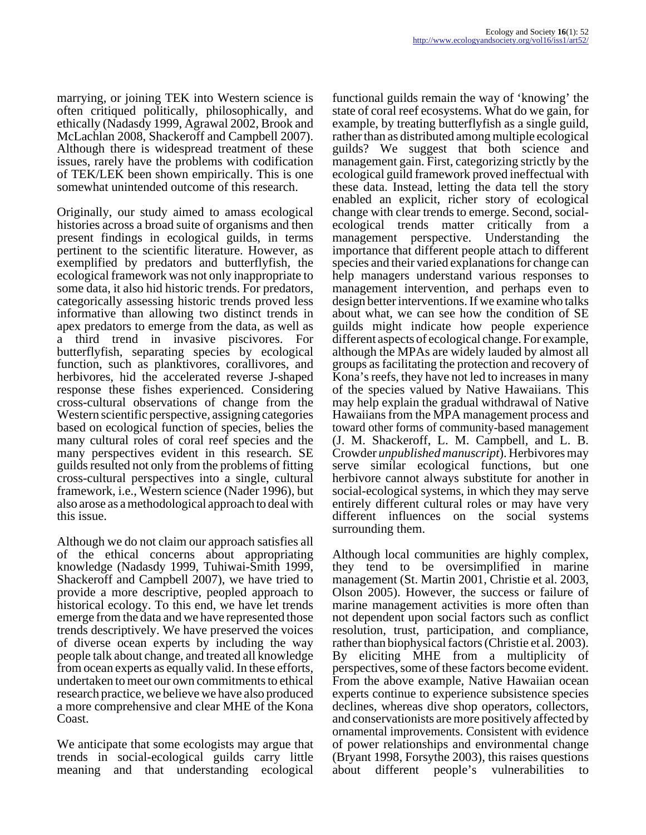marrying, or joining TEK into Western science is often critiqued politically, philosophically, and ethically (Nadasdy 1999, Agrawal 2002, Brook and McLachlan 2008, Shackeroff and Campbell 2007). Although there is widespread treatment of these issues, rarely have the problems with codification of TEK/LEK been shown empirically. This is one somewhat unintended outcome of this research.

Originally, our study aimed to amass ecological histories across a broad suite of organisms and then present findings in ecological guilds, in terms pertinent to the scientific literature. However, as exemplified by predators and butterflyfish, the ecological framework was not only inappropriate to some data, it also hid historic trends. For predators, categorically assessing historic trends proved less informative than allowing two distinct trends in apex predators to emerge from the data, as well as a third trend in invasive piscivores. For butterflyfish, separating species by ecological function, such as planktivores, corallivores, and herbivores, hid the accelerated reverse J-shaped response these fishes experienced. Considering cross-cultural observations of change from the Western scientific perspective, assigning categories based on ecological function of species, belies the many cultural roles of coral reef species and the many perspectives evident in this research. SE guilds resulted not only from the problems of fitting cross-cultural perspectives into a single, cultural framework, i.e., Western science (Nader 1996), but also arose as a methodological approach to deal with this issue.

Although we do not claim our approach satisfies all of the ethical concerns about appropriating knowledge (Nadasdy 1999, Tuhiwai-Smith 1999, Shackeroff and Campbell 2007), we have tried to provide a more descriptive, peopled approach to historical ecology. To this end, we have let trends emerge from the data and we have represented those trends descriptively. We have preserved the voices of diverse ocean experts by including the way people talk about change, and treated all knowledge from ocean experts as equally valid. In these efforts, undertaken to meet our own commitments to ethical research practice, we believe we have also produced a more comprehensive and clear MHE of the Kona Coast.

We anticipate that some ecologists may argue that trends in social-ecological guilds carry little meaning and that understanding ecological functional guilds remain the way of 'knowing' the state of coral reef ecosystems. What do we gain, for example, by treating butterflyfish as a single guild, rather than as distributed among multiple ecological guilds? We suggest that both science and management gain. First, categorizing strictly by the ecological guild framework proved ineffectual with these data. Instead, letting the data tell the story enabled an explicit, richer story of ecological change with clear trends to emerge. Second, socialecological trends matter critically from a management perspective. Understanding the importance that different people attach to different species and their varied explanations for change can help managers understand various responses to management intervention, and perhaps even to design better interventions. If we examine who talks about what, we can see how the condition of SE guilds might indicate how people experience different aspects of ecological change. For example, although the MPAs are widely lauded by almost all groups as facilitating the protection and recovery of Kona's reefs, they have not led to increases in many of the species valued by Native Hawaiians. This may help explain the gradual withdrawal of Native Hawaiians from the MPA management process and toward other forms of community-based management (J. M. Shackeroff, L. M. Campbell, and L. B. Crowder *unpublished manuscript*). Herbivores may serve similar ecological functions, but one herbivore cannot always substitute for another in social-ecological systems, in which they may serve entirely different cultural roles or may have very different influences on the social systems surrounding them.

Although local communities are highly complex, they tend to be oversimplified in marine management (St. Martin 2001, Christie et al. 2003, Olson 2005). However, the success or failure of marine management activities is more often than not dependent upon social factors such as conflict resolution, trust, participation, and compliance, rather than biophysical factors (Christie et al. 2003). By eliciting MHE from a multiplicity of perspectives, some of these factors become evident. From the above example, Native Hawaiian ocean experts continue to experience subsistence species declines, whereas dive shop operators, collectors, and conservationists are more positively affected by ornamental improvements. Consistent with evidence of power relationships and environmental change (Bryant 1998, Forsythe 2003), this raises questions about different people's vulnerabilities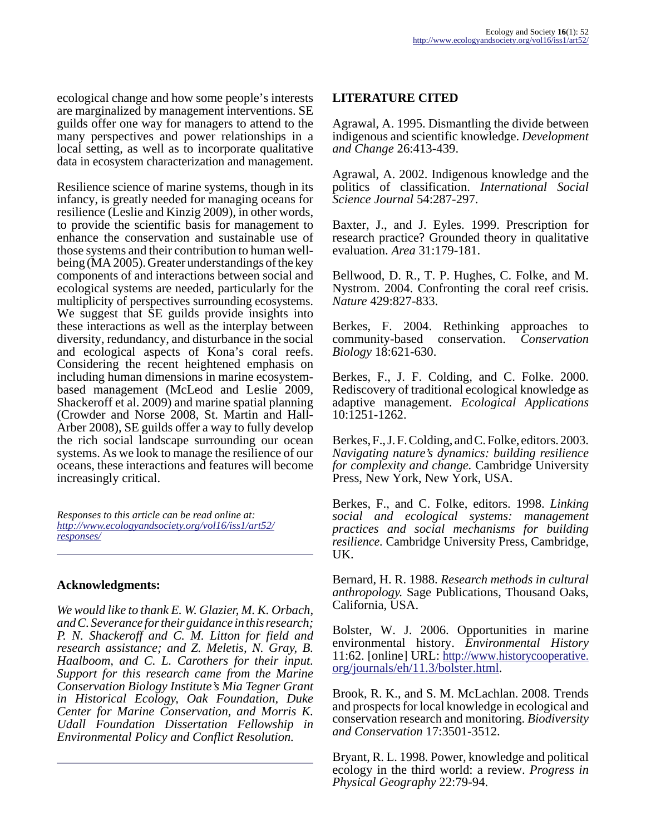ecological change and how some people's interests are marginalized by management interventions. SE guilds offer one way for managers to attend to the many perspectives and power relationships in a local setting, as well as to incorporate qualitative data in ecosystem characterization and management.

Resilience science of marine systems, though in its infancy, is greatly needed for managing oceans for resilience (Leslie and Kinzig 2009), in other words, to provide the scientific basis for management to enhance the conservation and sustainable use of those systems and their contribution to human wellbeing (MA 2005). Greater understandings of the key components of and interactions between social and ecological systems are needed, particularly for the multiplicity of perspectives surrounding ecosystems. We suggest that SE guilds provide insights into these interactions as well as the interplay between diversity, redundancy, and disturbance in the social and ecological aspects of Kona's coral reefs. Considering the recent heightened emphasis on including human dimensions in marine ecosystembased management (McLeod and Leslie 2009, Shackeroff et al. 2009) and marine spatial planning (Crowder and Norse 2008, St. Martin and Hall-Arber 2008), SE guilds offer a way to fully develop the rich social landscape surrounding our ocean systems. As we look to manage the resilience of our oceans, these interactions and features will become increasingly critical.

*Responses to this article can be read online at: [http://www](http://www.ecologyandsociety.org/vol16/iss1/art52/responses/).ecologyandsociety.org/vol16/iss1/art52/ responses/*

# **Acknowledgments:**

*We would like to thank E. W. Glazier, M. K. Orbach, and C. Severance for their guidance in this research; P. N. Shackeroff and C. M. Litton for field and research assistance; and Z. Meletis, N. Gray, B. Haalboom, and C. L. Carothers for their input. Support for this research came from the Marine Conservation Biology Institute's Mia Tegner Grant in Historical Ecology, Oak Foundation, Duke Center for Marine Conservation, and Morris K. Udall Foundation Dissertation Fellowship in Environmental Policy and Conflict Resolution.* 

#### **LITERATURE CITED**

Agrawal, A. 1995. Dismantling the divide between indigenous and scientific knowledge. *Development and Change* 26:413-439.

Agrawal, A. 2002. Indigenous knowledge and the politics of classification. *International Social Science Journal* 54:287-297.

Baxter, J., and J. Eyles. 1999. Prescription for research practice? Grounded theory in qualitative evaluation. *Area* 31:179-181.

Bellwood, D. R., T. P. Hughes, C. Folke, and M. Nystrom. 2004. Confronting the coral reef crisis. *Nature* 429:827-833.

Berkes, F. 2004. Rethinking approaches to community-based conservation. *Conservation Biology* 18:621-630.

Berkes, F., J. F. Colding, and C. Folke. 2000. Rediscovery of traditional ecological knowledge as adaptive management. *Ecological Applications* 10:1251-1262.

Berkes, F., J. F. Colding, and C. Folke, editors. 2003. *Navigating nature's dynamics: building resilience for complexity and change.* Cambridge University Press, New York, New York, USA.

Berkes, F., and C. Folke, editors. 1998. *Linking social and ecological systems: management practices and social mechanisms for building resilience.* Cambridge University Press, Cambridge, UK.

Bernard, H. R. 1988. *Research methods in cultural anthropology.* Sage Publications, Thousand Oaks, California, USA.

Bolster, W. J. 2006. Opportunities in marine environmental history. *Environmental History* 11:62. [online] URL: [http://www.historycooperative.](http://www.historycooperative.org/journals/eh/11.3/bolster.html) [org/journals/eh/11.3/bolster.html](http://www.historycooperative.org/journals/eh/11.3/bolster.html).

Brook, R. K., and S. M. McLachlan. 2008. Trends and prospects for local knowledge in ecological and conservation research and monitoring. *Biodiversity and Conservation* 17:3501-3512.

Bryant, R. L. 1998. Power, knowledge and political ecology in the third world: a review. *Progress in Physical Geography* 22:79-94.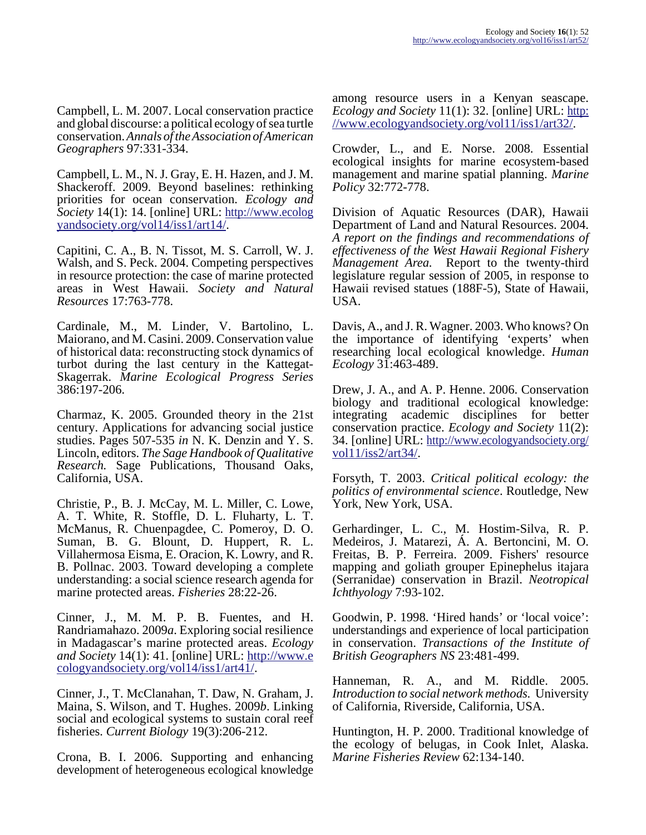Campbell, L. M. 2007. Local conservation practice and global discourse: a political ecology of sea turtle conservation. *Annals of the Association of American Geographers* 97:331-334.

Campbell, L. M., N. J. Gray, E. H. Hazen, and J. M. Shackeroff. 2009. Beyond baselines: rethinking priorities for ocean conservation. *Ecology and Society* 14(1): 14. [online] URL: [http://www.ecolog](http://www.ecologyandsociety.org/vol14/iss1/art14/) [yandsociety.org/vol14/iss1/art14/](http://www.ecologyandsociety.org/vol14/iss1/art14/).

Capitini, C. A., B. N. Tissot, M. S. Carroll, W. J. Walsh, and S. Peck. 2004. Competing perspectives in resource protection: the case of marine protected areas in West Hawaii. *Society and Natural Resources* 17:763-778.

Cardinale, M., M. Linder, V. Bartolino, L. Maiorano, and M. Casini. 2009. Conservation value of historical data: reconstructing stock dynamics of turbot during the last century in the Kattegat-Skagerrak. *Marine Ecological Progress Series* 386:197-206.

Charmaz, K. 2005. Grounded theory in the 21st century. Applications for advancing social justice studies. Pages 507-535 *in* N. K. Denzin and Y. S. Lincoln, editors. *The Sage Handbook of Qualitative Research.* Sage Publications, Thousand Oaks, California, USA.

Christie, P., B. J. McCay, M. L. Miller, C. Lowe, A. T. White, R. Stoffle, D. L. Fluharty, L. T. McManus, R. Chuenpagdee, C. Pomeroy, D. O. Suman, B. G. Blount, D. Huppert, R. L. Villahermosa Eisma, E. Oracion, K. Lowry, and R. B. Pollnac. 2003. Toward developing a complete understanding: a social science research agenda for marine protected areas. *Fisheries* 28:22-26.

Cinner, J., M. M. P. B. Fuentes, and H. Randriamahazo. 2009*a*. Exploring social resilience in Madagascar's marine protected areas. *Ecology and Society* 14(1): 41. [online] URL: [http://www.e](http://www.ecologyandsociety.org/vol14/iss1/art41/) [cologyandsociety.org/vol14/iss1/art41/.](http://www.ecologyandsociety.org/vol14/iss1/art41/)

Cinner, J., T. McClanahan, T. Daw, N. Graham, J. Maina, S. Wilson, and T. Hughes. 2009*b*. Linking social and ecological systems to sustain coral reef fisheries. *Current Biology* 19(3):206-212.

Crona, B. I. 2006. Supporting and enhancing development of heterogeneous ecological knowledge

among resource users in a Kenyan seascape. *Ecology and Society* 11(1): 32. [online] URL: [http:](http://www.ecologyandsociety.org/vol11/iss1/art32/) [//www.ecologyandsociety.org/vol11/iss1/art32/.](http://www.ecologyandsociety.org/vol11/iss1/art32/)

Crowder, L., and E. Norse. 2008. Essential ecological insights for marine ecosystem-based management and marine spatial planning. *Marine Policy* 32:772-778.

Division of Aquatic Resources (DAR), Hawaii Department of Land and Natural Resources. 2004. *A report on the findings and recommendations of effectiveness of the West Hawaii Regional Fishery Management Area.* Report to the twenty-third legislature regular session of 2005, in response to Hawaii revised statues (188F-5), State of Hawaii, USA.

Davis, A., and J. R. Wagner. 2003. Who knows? On the importance of identifying 'experts' when researching local ecological knowledge. *Human Ecology* 31:463-489.

Drew, J. A., and A. P. Henne. 2006. Conservation biology and traditional ecological knowledge: integrating academic disciplines for better conservation practice. *Ecology and Society* 11(2): 34. [online] URL: [http://www.ecologyandsociety.org/](http://www.ecologyandsociety.org/vol11/iss2/art34/) [vol11/iss2/art34/.](http://www.ecologyandsociety.org/vol11/iss2/art34/)

Forsyth, T. 2003. *Critical political ecology: the politics of environmental science*. Routledge, New York, New York, USA.

Gerhardinger, L. C., M. Hostim-Silva, R. P. Medeiros, J. Matarezi, Á. A. Bertoncini, M. O. Freitas, B. P. Ferreira. 2009. Fishers' resource mapping and goliath grouper Epinephelus itajara (Serranidae) conservation in Brazil. *Neotropical Ichthyology* 7:93-102.

Goodwin, P. 1998. 'Hired hands' or 'local voice': understandings and experience of local participation in conservation. *Transactions of the Institute of British Geographers NS* 23:481-499.

Hanneman, R. A., and M. Riddle. 2005. *Introduction to social network methods.* University of California, Riverside, California, USA.

Huntington, H. P. 2000. Traditional knowledge of the ecology of belugas, in Cook Inlet, Alaska. *Marine Fisheries Review* 62:134-140.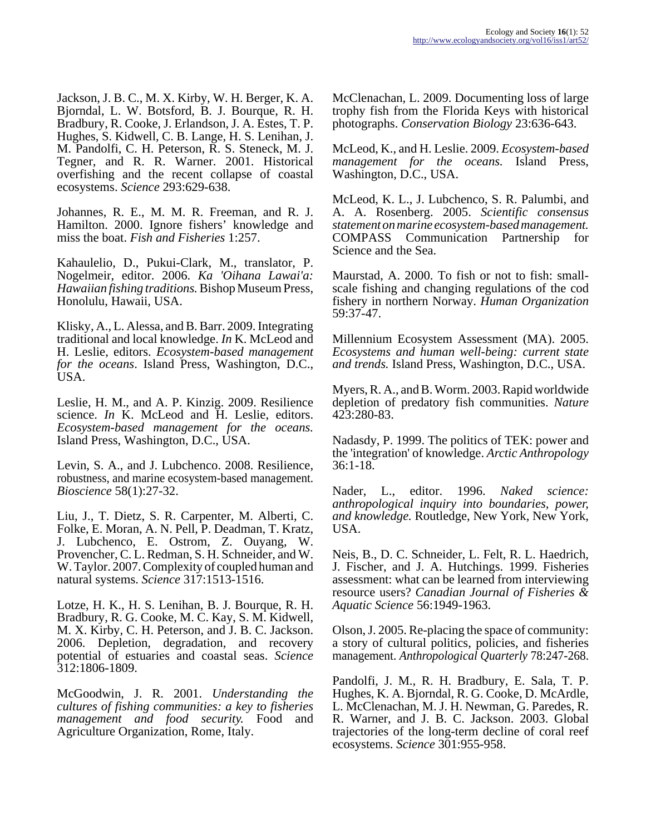Jackson, J. B. C., M. X. Kirby, W. H. Berger, K. A. Bjorndal, L. W. Botsford, B. J. Bourque, R. H. Bradbury, R. Cooke, J. Erlandson, J. A. Estes, T. P. Hughes, S. Kidwell, C. B. Lange, H. S. Lenihan, J. M. Pandolfi, C. H. Peterson, R. S. Steneck, M. J. Tegner, and R. R. Warner. 2001. Historical overfishing and the recent collapse of coastal ecosystems. *Science* 293:629-638.

Johannes, R. E., M. M. R. Freeman, and R. J. Hamilton. 2000. Ignore fishers' knowledge and miss the boat. *Fish and Fisheries* 1:257.

Kahaulelio, D., Pukui-Clark, M., translator, P. Nogelmeir, editor. 2006. *Ka 'Oihana Lawai'a: Hawaiian fishing traditions.* Bishop Museum Press, Honolulu, Hawaii, USA.

Klisky, A., L. Alessa, and B. Barr. 2009. Integrating traditional and local knowledge. *In* K. McLeod and H. Leslie, editors. *Ecosystem-based management for the oceans*. Island Press, Washington, D.C., USA.

Leslie, H. M., and A. P. Kinzig. 2009. Resilience science. *In* K. McLeod and H. Leslie, editors. *Ecosystem-based management for the oceans.* Island Press, Washington, D.C., USA.

Levin, S. A., and J. Lubchenco. 2008. Resilience, robustness, and marine ecosystem-based management. *Bioscience* 58(1):27-32.

Liu, J., T. Dietz, S. R. Carpenter, M. Alberti, C. Folke, E. Moran, A. N. Pell, P. Deadman, T. Kratz, J. Lubchenco, E. Ostrom, Z. Ouyang, W. Provencher, C. L. Redman, S. H. Schneider, and W. W. Taylor. 2007. Complexity of coupled human and natural systems. *Science* 317:1513-1516.

Lotze, H. K., H. S. Lenihan, B. J. Bourque, R. H. Bradbury, R. G. Cooke, M. C. Kay, S. M. Kidwell, M. X. Kirby, C. H. Peterson, and J. B. C. Jackson. 2006. Depletion, degradation, and recovery potential of estuaries and coastal seas. *Science* 312:1806-1809.

McGoodwin, J. R. 2001. *Understanding the cultures of fishing communities: a key to fisheries management and food security.* Food and Agriculture Organization, Rome, Italy.

McClenachan, L. 2009. Documenting loss of large trophy fish from the Florida Keys with historical photographs. *Conservation Biology* 23:636-643.

McLeod, K., and H. Leslie. 2009. *Ecosystem-based management for the oceans.* Island Press, Washington, D.C., USA.

McLeod, K. L., J. Lubchenco, S. R. Palumbi, and A. A. Rosenberg. 2005. *Scientific consensus statement on marine ecosystem-based management.* COMPASS Communication Partnership for Science and the Sea.

Maurstad, A. 2000. To fish or not to fish: smallscale fishing and changing regulations of the cod fishery in northern Norway. *Human Organization* 59:37-47.

Millennium Ecosystem Assessment (MA). 2005. *Ecosystems and human well-being: current state and trends.* Island Press, Washington, D.C., USA.

Myers, R. A., and B. Worm. 2003. Rapid worldwide depletion of predatory fish communities. *Nature* 423:280-83.

Nadasdy, P. 1999. The politics of TEK: power and the 'integration' of knowledge. *Arctic Anthropology* 36:1-18.

Nader, L., editor. 1996. *Naked science: anthropological inquiry into boundaries, power, and knowledge.* Routledge, New York, New York, USA.

Neis, B., D. C. Schneider, L. Felt, R. L. Haedrich, J. Fischer, and J. A. Hutchings. 1999. Fisheries assessment: what can be learned from interviewing resource users? *Canadian Journal of Fisheries & Aquatic Science* 56:1949-1963.

Olson, J. 2005. Re-placing the space of community: a story of cultural politics, policies, and fisheries management. *Anthropological Quarterly* 78:247-268.

Pandolfi, J. M., R. H. Bradbury, E. Sala, T. P. Hughes, K. A. Bjorndal, R. G. Cooke, D. McArdle, L. McClenachan, M. J. H. Newman, G. Paredes, R. R. Warner, and J. B. C. Jackson. 2003. Global trajectories of the long-term decline of coral reef ecosystems. *Science* 301:955-958.